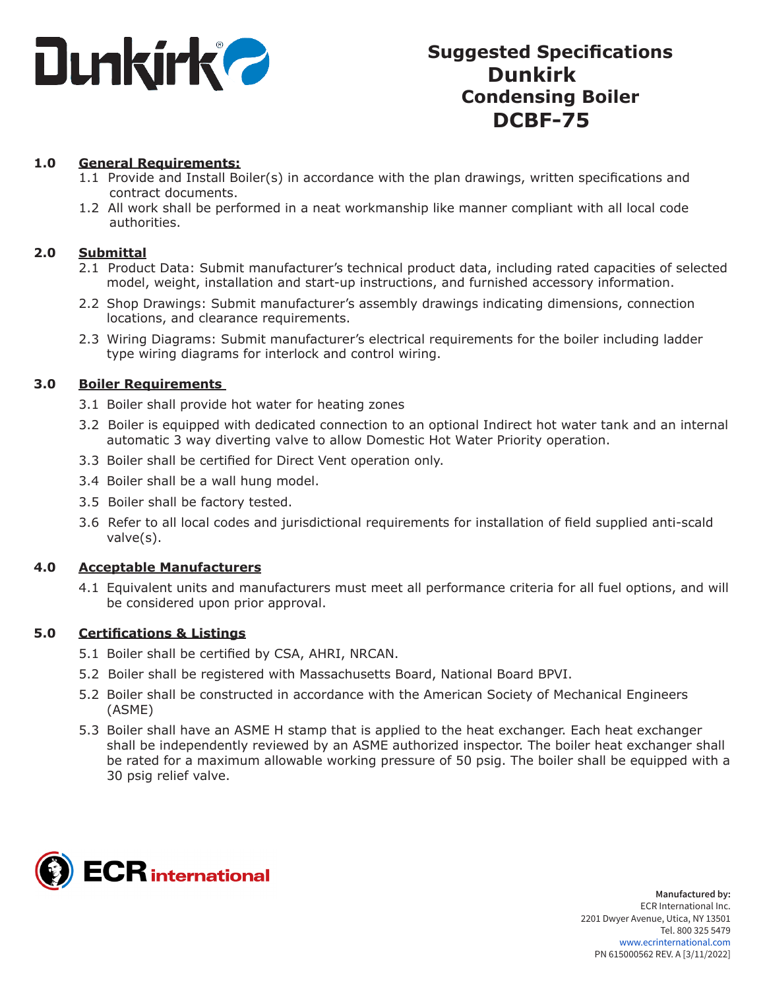

# **Suggested Specifications Dunkirk Condensing Boiler DCBF-75**

#### **1.0 General Requirements:**

- 1.1 Provide and Install Boiler(s) in accordance with the plan drawings, written specifications and contract documents.
- 1.2 All work shall be performed in a neat workmanship like manner compliant with all local code authorities.

#### **2.0 Submittal**

- 2.1 Product Data: Submit manufacturer's technical product data, including rated capacities of selected model, weight, installation and start-up instructions, and furnished accessory information.
- 2.2 Shop Drawings: Submit manufacturer's assembly drawings indicating dimensions, connection locations, and clearance requirements.
- 2.3 Wiring Diagrams: Submit manufacturer's electrical requirements for the boiler including ladder type wiring diagrams for interlock and control wiring.

#### **3.0 Boiler Requirements**

- 3.1 Boiler shall provide hot water for heating zones
- 3.2 Boiler is equipped with dedicated connection to an optional Indirect hot water tank and an internal automatic 3 way diverting valve to allow Domestic Hot Water Priority operation.
- 3.3 Boiler shall be certified for Direct Vent operation only.
- 3.4 Boiler shall be a wall hung model.
- 3.5 Boiler shall be factory tested.
- 3.6 Refer to all local codes and jurisdictional requirements for installation of field supplied anti-scald valve(s).

# **4.0 Acceptable Manufacturers**

4.1 Equivalent units and manufacturers must meet all performance criteria for all fuel options, and will be considered upon prior approval.

# **5.0 Certifications & Listings**

- 5.1 Boiler shall be certified by CSA, AHRI, NRCAN.
- 5.2 Boiler shall be registered with Massachusetts Board, National Board BPVI.
- 5.2 Boiler shall be constructed in accordance with the American Society of Mechanical Engineers (ASME)
- 5.3 Boiler shall have an ASME H stamp that is applied to the heat exchanger. Each heat exchanger shall be independently reviewed by an ASME authorized inspector. The boiler heat exchanger shall be rated for a maximum allowable working pressure of 50 psig. The boiler shall be equipped with a 30 psig relief valve.

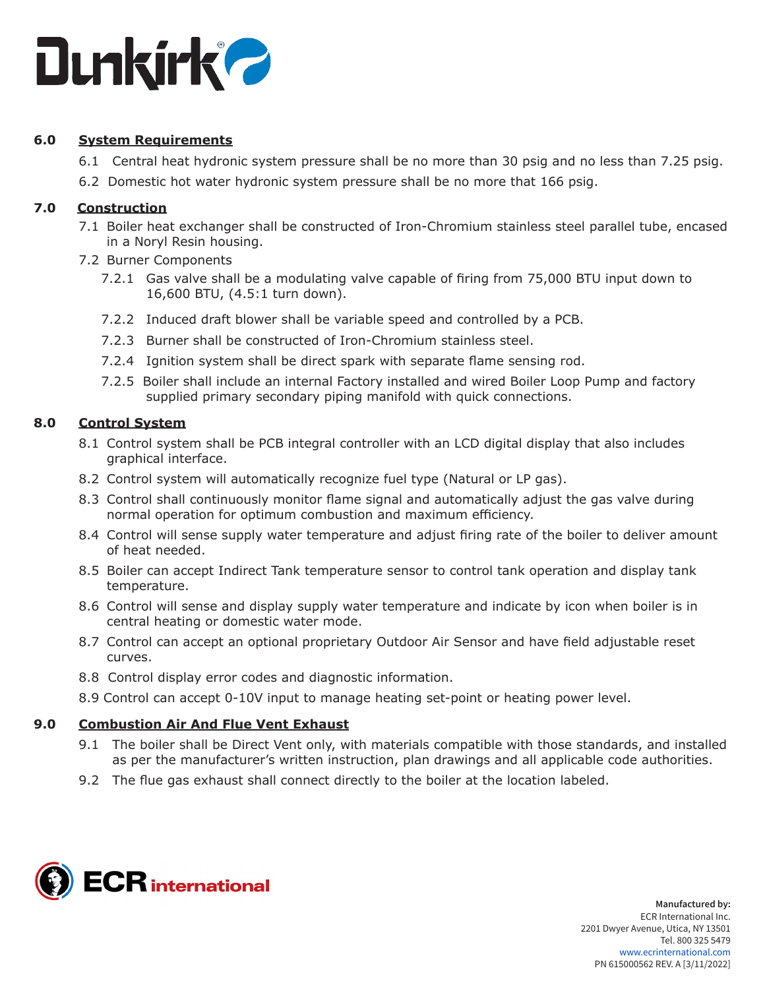

# **6.0 System Requirements**

- 6.1 Central heat hydronic system pressure shall be no more than 30 psig and no less than 7.25 psig.
- 6.2 Domestic hot water hydronic system pressure shall be no more that 166 psig.

# **7.0 Construction**

- 7.1 Boiler heat exchanger shall be constructed of Iron-Chromium stainless steel parallel tube, encased in a Noryl Resin housing.
- 7.2 Burner Components
	- 7.2.1 Gas valve shall be a modulating valve capable of firing from 75,000 BTU input down to 16,600 BTU, (4.5:1 turn down).
	- 7.2.2 Induced draft blower shall be variable speed and controlled by a PCB.
	- 7.2.3 Burner shall be constructed of Iron-Chromium stainless steel.
	- 7.2.4 Ignition system shall be direct spark with separate flame sensing rod.
	- 7.2.5 Boiler shall include an internal Factory installed and wired Boiler Loop Pump and factory supplied primary secondary piping manifold with quick connections.

# **8.0 Control System**

- 8.1 Control system shall be PCB integral controller with an LCD digital display that also includes graphical interface.
- 8.2 Control system will automatically recognize fuel type (Natural or LP gas).
- 8.3 Control shall continuously monitor flame signal and automatically adjust the gas valve during normal operation for optimum combustion and maximum efficiency.
- 8.4 Control will sense supply water temperature and adjust firing rate of the boiler to deliver amount of heat needed.
- 8.5 Boiler can accept Indirect Tank temperature sensor to control tank operation and display tank temperature.
- 8.6 Control will sense and display supply water temperature and indicate by icon when boiler is in central heating or domestic water mode.
- 8.7 Control can accept an optional proprietary Outdoor Air Sensor and have field adjustable reset curves.
- 8.8 Control display error codes and diagnostic information.
- 8.9 Control can accept 0-10V input to manage heating set-point or heating power level.

# **9.0 Combustion Air And Flue Vent Exhaust**

- 9.1 The boiler shall be Direct Vent only, with materials compatible with those standards, and installed as per the manufacturer's written instruction, plan drawings and all applicable code authorities.
- 9.2 The flue gas exhaust shall connect directly to the boiler at the location labeled.